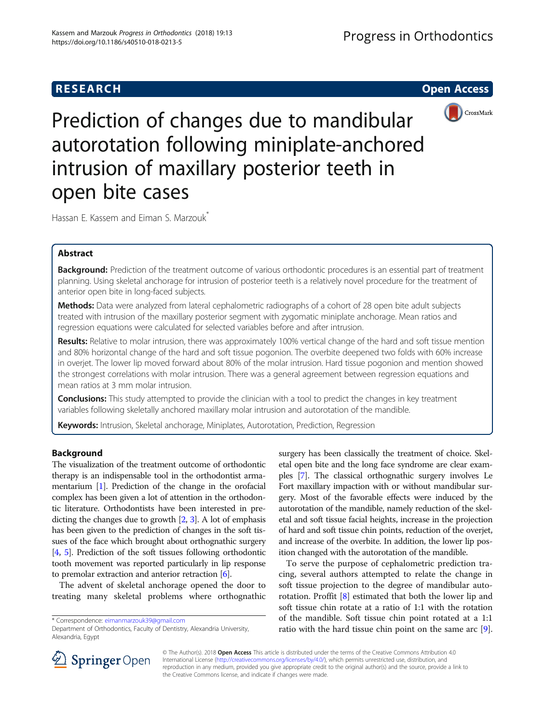# **RESEARCH CHILD CONTROL** CONTROL CONTROL CONTROL CONTROL CONTROL CONTROL CONTROL CONTROL CONTROL CONTROL CONTROL CONTROL CONTROL CONTROL CONTROL CONTROL CONTROL CONTROL CONTROL CONTROL CONTROL CONTROL CONTROL CONTROL CONTR



Prediction of changes due to mandibular autorotation following miniplate-anchored intrusion of maxillary posterior teeth in open bite cases

Hassan E. Kassem and Eiman S. Marzouk<sup>\*</sup>

# Abstract

Background: Prediction of the treatment outcome of various orthodontic procedures is an essential part of treatment planning. Using skeletal anchorage for intrusion of posterior teeth is a relatively novel procedure for the treatment of anterior open bite in long-faced subjects.

Methods: Data were analyzed from lateral cephalometric radiographs of a cohort of 28 open bite adult subjects treated with intrusion of the maxillary posterior segment with zygomatic miniplate anchorage. Mean ratios and regression equations were calculated for selected variables before and after intrusion.

Results: Relative to molar intrusion, there was approximately 100% vertical change of the hard and soft tissue mention and 80% horizontal change of the hard and soft tissue pogonion. The overbite deepened two folds with 60% increase in overjet. The lower lip moved forward about 80% of the molar intrusion. Hard tissue pogonion and mention showed the strongest correlations with molar intrusion. There was a general agreement between regression equations and mean ratios at 3 mm molar intrusion.

**Conclusions:** This study attempted to provide the clinician with a tool to predict the changes in key treatment variables following skeletally anchored maxillary molar intrusion and autorotation of the mandible.

Keywords: Intrusion, Skeletal anchorage, Miniplates, Autorotation, Prediction, Regression

# Background

The visualization of the treatment outcome of orthodontic therapy is an indispensable tool in the orthodontist armamentarium [\[1\]](#page-6-0). Prediction of the change in the orofacial complex has been given a lot of attention in the orthodontic literature. Orthodontists have been interested in predicting the changes due to growth [\[2,](#page-6-0) [3\]](#page-6-0). A lot of emphasis has been given to the prediction of changes in the soft tissues of the face which brought about orthognathic surgery [[4](#page-6-0), [5](#page-6-0)]. Prediction of the soft tissues following orthodontic tooth movement was reported particularly in lip response to premolar extraction and anterior retraction [\[6](#page-6-0)].

The advent of skeletal anchorage opened the door to treating many skeletal problems where orthognathic

\* Correspondence: [eimanmarzouk39@gmail.com](mailto:eimanmarzouk39@gmail.com)

surgery has been classically the treatment of choice. Skeletal open bite and the long face syndrome are clear examples [\[7](#page-6-0)]. The classical orthognathic surgery involves Le Fort maxillary impaction with or without mandibular surgery. Most of the favorable effects were induced by the autorotation of the mandible, namely reduction of the skeletal and soft tissue facial heights, increase in the projection of hard and soft tissue chin points, reduction of the overjet, and increase of the overbite. In addition, the lower lip position changed with the autorotation of the mandible.

To serve the purpose of cephalometric prediction tracing, several authors attempted to relate the change in soft tissue projection to the degree of mandibular autorotation. Proffit [[8](#page-6-0)] estimated that both the lower lip and soft tissue chin rotate at a ratio of 1:1 with the rotation of the mandible. Soft tissue chin point rotated at a 1:1 ratio with the hard tissue chin point on the same arc [\[9](#page-6-0)].



© The Author(s). 2018 Open Access This article is distributed under the terms of the Creative Commons Attribution 4.0 International License ([http://creativecommons.org/licenses/by/4.0/\)](http://creativecommons.org/licenses/by/4.0/), which permits unrestricted use, distribution, and reproduction in any medium, provided you give appropriate credit to the original author(s) and the source, provide a link to the Creative Commons license, and indicate if changes were made.

Department of Orthodontics, Faculty of Dentistry, Alexandria University, Alexandria, Egypt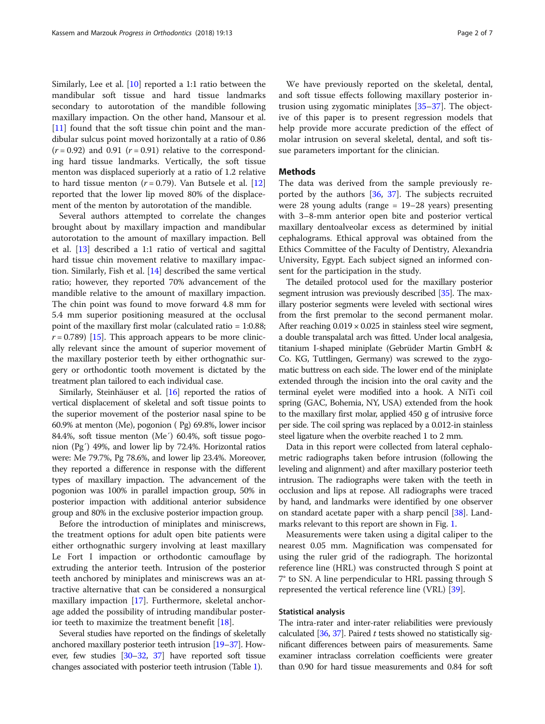Similarly, Lee et al. [[10](#page-6-0)] reported a 1:1 ratio between the mandibular soft tissue and hard tissue landmarks secondary to autorotation of the mandible following maxillary impaction. On the other hand, Mansour et al. [[11\]](#page-6-0) found that the soft tissue chin point and the mandibular sulcus point moved horizontally at a ratio of 0.86  $(r = 0.92)$  and 0.91  $(r = 0.91)$  relative to the corresponding hard tissue landmarks. Vertically, the soft tissue menton was displaced superiorly at a ratio of 1.2 relative to hard tissue menton ( $r = 0.79$ ). Van Butsele et al. [[12](#page-6-0)] reported that the lower lip moved 80% of the displacement of the menton by autorotation of the mandible.

Several authors attempted to correlate the changes brought about by maxillary impaction and mandibular autorotation to the amount of maxillary impaction. Bell et al. [[13](#page-6-0)] described a 1:1 ratio of vertical and sagittal hard tissue chin movement relative to maxillary impaction. Similarly, Fish et al. [[14\]](#page-6-0) described the same vertical ratio; however, they reported 70% advancement of the mandible relative to the amount of maxillary impaction. The chin point was found to move forward 4.8 mm for 5.4 mm superior positioning measured at the occlusal point of the maxillary first molar (calculated ratio = 1:0.88;  $r = 0.789$  [\[15\]](#page-6-0). This approach appears to be more clinically relevant since the amount of superior movement of the maxillary posterior teeth by either orthognathic surgery or orthodontic tooth movement is dictated by the treatment plan tailored to each individual case.

Similarly, Steinhäuser et al. [\[16\]](#page-6-0) reported the ratios of vertical displacement of skeletal and soft tissue points to the superior movement of the posterior nasal spine to be 60.9% at menton (Me), pogonion ( Pg) 69.8%, lower incisor 84.4%, soft tissue menton (Me´) 60.4%, soft tissue pogonion (Pg´) 49%, and lower lip by 72.4%. Horizontal ratios were: Me 79.7%, Pg 78.6%, and lower lip 23.4%. Moreover, they reported a difference in response with the different types of maxillary impaction. The advancement of the pogonion was 100% in parallel impaction group, 50% in posterior impaction with additional anterior subsidence group and 80% in the exclusive posterior impaction group.

Before the introduction of miniplates and miniscrews, the treatment options for adult open bite patients were either orthognathic surgery involving at least maxillary Le Fort I impaction or orthodontic camouflage by extruding the anterior teeth. Intrusion of the posterior teeth anchored by miniplates and miniscrews was an attractive alternative that can be considered a nonsurgical maxillary impaction [[17\]](#page-6-0). Furthermore, skeletal anchorage added the possibility of intruding mandibular posterior teeth to maximize the treatment benefit [[18\]](#page-6-0).

Several studies have reported on the findings of skeletally anchored maxillary posterior teeth intrusion [[19](#page-6-0)–[37](#page-6-0)]. However, few studies [\[30](#page-6-0)–[32,](#page-6-0) [37\]](#page-6-0) have reported soft tissue changes associated with posterior teeth intrusion (Table [1\)](#page-2-0).

We have previously reported on the skeletal, dental, and soft tissue effects following maxillary posterior intrusion using zygomatic miniplates [\[35](#page-6-0)–[37\]](#page-6-0). The objective of this paper is to present regression models that help provide more accurate prediction of the effect of molar intrusion on several skeletal, dental, and soft tissue parameters important for the clinician.

#### Methods

The data was derived from the sample previously reported by the authors [[36,](#page-6-0) [37](#page-6-0)]. The subjects recruited were 28 young adults (range = 19–28 years) presenting with 3–8-mm anterior open bite and posterior vertical maxillary dentoalveolar excess as determined by initial cephalograms. Ethical approval was obtained from the Ethics Committee of the Faculty of Dentistry, Alexandria University, Egypt. Each subject signed an informed consent for the participation in the study.

The detailed protocol used for the maxillary posterior segment intrusion was previously described [\[35\]](#page-6-0). The maxillary posterior segments were leveled with sectional wires from the first premolar to the second permanent molar. After reaching  $0.019 \times 0.025$  in stainless steel wire segment, a double transpalatal arch was fitted. Under local analgesia, titanium I-shaped miniplate (Gebrüder Martin GmbH & Co. KG, Tuttlingen, Germany) was screwed to the zygomatic buttress on each side. The lower end of the miniplate extended through the incision into the oral cavity and the terminal eyelet were modified into a hook. A NiTi coil spring (GAC, Bohemia, NY, USA) extended from the hook to the maxillary first molar, applied 450 g of intrusive force per side. The coil spring was replaced by a 0.012-in stainless steel ligature when the overbite reached 1 to 2 mm.

Data in this report were collected from lateral cephalometric radiographs taken before intrusion (following the leveling and alignment) and after maxillary posterior teeth intrusion. The radiographs were taken with the teeth in occlusion and lips at repose. All radiographs were traced by hand, and landmarks were identified by one observer on standard acetate paper with a sharp pencil [[38](#page-6-0)]. Landmarks relevant to this report are shown in Fig. [1](#page-3-0).

Measurements were taken using a digital caliper to the nearest 0.05 mm. Magnification was compensated for using the ruler grid of the radiograph. The horizontal reference line (HRL) was constructed through S point at 7° to SN. A line perpendicular to HRL passing through S represented the vertical reference line (VRL) [\[39](#page-6-0)].

### Statistical analysis

The intra-rater and inter-rater reliabilities were previously calculated  $[36, 37]$  $[36, 37]$  $[36, 37]$ . Paired t tests showed no statistically significant differences between pairs of measurements. Same examiner intraclass correlation coefficients were greater than 0.90 for hard tissue measurements and 0.84 for soft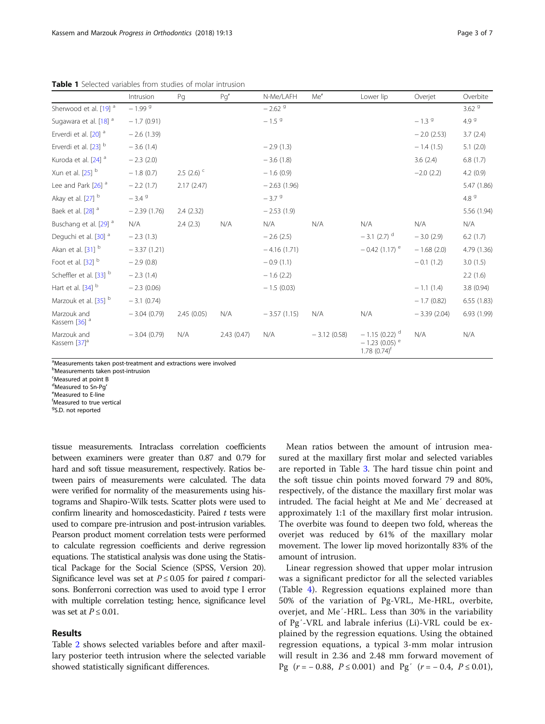|                                         | Intrusion     | Pg          | Pg'        | N-Me/LAFH            | Me'           | Lower lip                                                                     | Overjet       | Overbite          |
|-----------------------------------------|---------------|-------------|------------|----------------------|---------------|-------------------------------------------------------------------------------|---------------|-------------------|
| Sherwood et al. [19] <sup>a</sup>       | $-1.999$      |             |            | $-2.62$ <sup>9</sup> |               |                                                                               |               | 3.62 <sup>9</sup> |
| Sugawara et al. [18] <sup>a</sup>       | $-1.7(0.91)$  |             |            | $-1.5$ <sup>9</sup>  |               |                                                                               | $-1.39$       | 4.9 <sup>9</sup>  |
| Erverdi et al. [20] <sup>a</sup>        | $-2.6(1.39)$  |             |            |                      |               |                                                                               | $-2.0(2.53)$  | 3.7(2.4)          |
| Erverdi et al. [23] b                   | $-3.6(1.4)$   |             |            | $-2.9(1.3)$          |               |                                                                               | $-1.4(1.5)$   | 5.1(2.0)          |
| Kuroda et al. [24] <sup>a</sup>         | $-2.3(2.0)$   |             |            | $-3.6(1.8)$          |               |                                                                               | 3.6(2.4)      | 6.8(1.7)          |
| Xun et al. $[25]$ <sup>b</sup>          | $-1.8(0.7)$   | 2.5 $(2.6)$ |            | $-1.6(0.9)$          |               |                                                                               | $-2.0(2.2)$   | 4.2(0.9)          |
| Lee and Park [26] <sup>a</sup>          | $-2.2(1.7)$   | 2.17(2.47)  |            | $-2.63(1.96)$        |               |                                                                               |               | 5.47 (1.86)       |
| Akay et al. [27] b                      | $-3.49$       |             |            | $-3.79$              |               |                                                                               |               | 4.8 $9$           |
| Baek et al. [28] <sup>a</sup>           | $-2.39(1.76)$ | 2.4(2.32)   |            | $-2.53(1.9)$         |               |                                                                               |               | 5.56 (1.94)       |
| Buschang et al. [29] <sup>a</sup>       | N/A           | 2.4(2.3)    | N/A        | N/A                  | N/A           | N/A                                                                           | N/A           | N/A               |
| Dequchi et al. [30] <sup>a</sup>        | $-2.3(1.3)$   |             |            | $-2.6(2.5)$          |               | $-3.1$ (2.7) <sup>d</sup>                                                     | $-3.0(2.9)$   | 6.2(1.7)          |
| Akan et al. [31] b                      | $-3.37(1.21)$ |             |            | $-4.16(1.71)$        |               | $-0.42(1.17)$ <sup>e</sup>                                                    | $-1.68(2.0)$  | 4.79 (1.36)       |
| Foot et al. [32] b                      | $-2.9(0.8)$   |             |            | $-0.9(1.1)$          |               |                                                                               | $-0.1(1.2)$   | 3.0(1.5)          |
| Scheffler et al. [33] b                 | $-2.3(1.4)$   |             |            | $-1.6(2.2)$          |               |                                                                               |               | 2.2(1.6)          |
| Hart et al. $[34]$ <sup>b</sup>         | $-2.3(0.06)$  |             |            | $-1.5(0.03)$         |               |                                                                               | $-1.1(1.4)$   | 3.8(0.94)         |
| Marzouk et al. [35] b                   | $-3.1(0.74)$  |             |            |                      |               |                                                                               | $-1.7(0.82)$  | 6.55(1.83)        |
| Marzouk and<br>Kassem [36] <sup>a</sup> | $-3.04(0.79)$ | 2.45(0.05)  | N/A        | $-3.57(1.15)$        | N/A           | N/A                                                                           | $-3.39(2.04)$ | 6.93 (1.99)       |
| Marzouk and<br>Kassem [37] <sup>a</sup> | $-3.04(0.79)$ | N/A         | 2.43(0.47) | N/A                  | $-3.12(0.58)$ | $-1.15(0.22)^d$<br>$-1.23(0.05)$ <sup>e</sup><br>$1.78$ $(0.74)$ <sup>†</sup> | N/A           | N/A               |

<span id="page-2-0"></span>Table 1 Selected variables from studies of molar intrusion

<sup>a</sup>Measurements taken post-treatment and extractions were involved

**b**Measurements taken post-intrusion

<sup>c</sup>Measured at point B

<sup>d</sup>Measured to Sn-Pg<sup>'</sup><br><sup>e</sup>Measured to E-line Measured to E-line

f Measured to true vertical

<sup>9</sup>S.D. not reported

tissue measurements. Intraclass correlation coefficients between examiners were greater than 0.87 and 0.79 for hard and soft tissue measurement, respectively. Ratios between pairs of measurements were calculated. The data were verified for normality of the measurements using histograms and Shapiro-Wilk tests. Scatter plots were used to confirm linearity and homoscedasticity. Paired  $t$  tests were used to compare pre-intrusion and post-intrusion variables. Pearson product moment correlation tests were performed to calculate regression coefficients and derive regression equations. The statistical analysis was done using the Statistical Package for the Social Science (SPSS, Version 20). Significance level was set at  $P \le 0.05$  for paired t comparisons. Bonferroni correction was used to avoid type I error with multiple correlation testing; hence, significance level was set at  $P \le 0.01$ .

### Results

Table [2](#page-3-0) shows selected variables before and after maxillary posterior teeth intrusion where the selected variable showed statistically significant differences.

Mean ratios between the amount of intrusion measured at the maxillary first molar and selected variables are reported in Table [3.](#page-3-0) The hard tissue chin point and the soft tissue chin points moved forward 79 and 80%, respectively, of the distance the maxillary first molar was intruded. The facial height at Me and Me′ decreased at approximately 1:1 of the maxillary first molar intrusion. The overbite was found to deepen two fold, whereas the overjet was reduced by 61% of the maxillary molar movement. The lower lip moved horizontally 83% of the amount of intrusion.

Linear regression showed that upper molar intrusion was a significant predictor for all the selected variables (Table [4](#page-3-0)). Regression equations explained more than 50% of the variation of Pg-VRL, Me-HRL, overbite, overjet, and Me′-HRL. Less than 30% in the variability of Pg′-VRL and labrale inferius (Li)-VRL could be explained by the regression equations. Using the obtained regression equations, a typical 3-mm molar intrusion will result in 2.36 and 2.48 mm forward movement of Pg ( $r = -0.88$ ,  $P \le 0.001$ ) and Pg' ( $r = -0.4$ ,  $P \le 0.01$ ),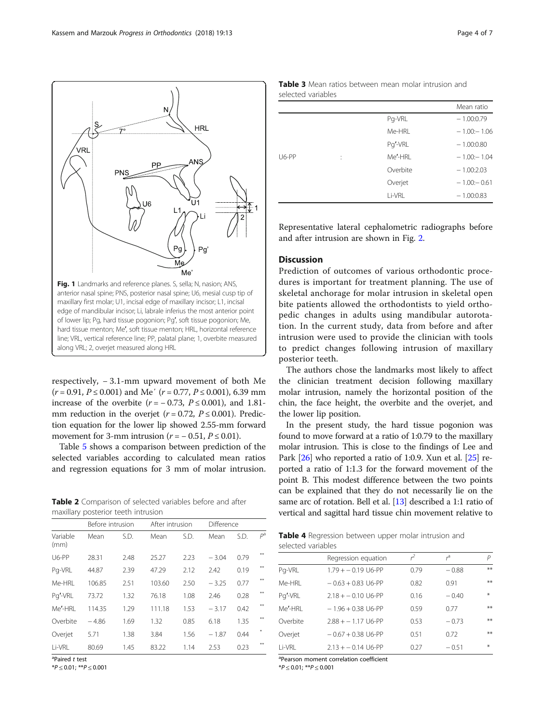<span id="page-3-0"></span>

respectively, − 3.1-mm upward movement of both Me  $(r = 0.91, P \le 0.001)$  and Me'  $(r = 0.77, P \le 0.001)$ , 6.39 mm increase of the overbite  $(r = -0.73, P \le 0.001)$ , and 1.81mm reduction in the overjet ( $r = 0.72$ ,  $P \le 0.001$ ). Prediction equation for the lower lip showed 2.55-mm forward movement for 3-mm intrusion  $(r = -0.51, P \le 0.01)$ .

Table [5](#page-4-0) shows a comparison between prediction of the selected variables according to calculated mean ratios and regression equations for 3 mm of molar intrusion.

Table 2 Comparison of selected variables before and after maxillary posterior teeth intrusion

|                  | Before intrusion |      | After intrusion |      | Difference |      |       |
|------------------|------------------|------|-----------------|------|------------|------|-------|
| Variable<br>(mm) | Mean             | S.D. | Mean            | S.D. | Mean       | S.D. | $P^a$ |
| $U6-PP$          | 28.31            | 2.48 | 25.27           | 2.23 | $-3.04$    | 0.79 | ¥¥    |
| Pg-VRL           | 44.87            | 2.39 | 47.29           | 2.12 | 2.42       | 0.19 | **    |
| Me-HRI           | 106.85           | 2.51 | 103.60          | 2.50 | $-3.25$    | 0.77 | **    |
| Pg'-VRL          | 73.72            | 1.32 | 76.18           | 1.08 | 2.46       | 0.28 | **    |
| Me'-HRI          | 114.35           | 1.29 | 111.18          | 1.53 | $-3.17$    | 0.42 | ¥¥.   |
| Overbite         | $-4.86$          | 1.69 | 1.32            | 0.85 | 6.18       | 1.35 | **    |
| Overjet          | 5.71             | 1.38 | 3.84            | 1.56 | $-1.87$    | 0.44 | ₩     |
| Li-VRL           | 80.69            | 1.45 | 83.22           | 1.14 | 2.53       | 0.23 | **    |

<sup>a</sup>Paired t test

 $*P \leq 0.01$ ;  $*P \leq 0.001$ 

| <b>Table 3</b> Mean ratios between mean molar intrusion and |  |  |  |  |
|-------------------------------------------------------------|--|--|--|--|
| selected variables                                          |  |  |  |  |

|       |   |          | Mean ratio     |
|-------|---|----------|----------------|
|       |   | Pg-VRL   | $-1.00:0.79$   |
|       |   | Me-HRL   | $-1.00 - 1.06$ |
|       |   | Pg'-VRL  | $-1.00:0.80$   |
| U6-PP | ÷ | Me'-HRI  | $-1.00 - 1.04$ |
|       |   | Overbite | $-1.00:2.03$   |
|       |   | Overjet  | $-1.00 - 0.61$ |
|       |   | Li-VRL   | $-1.00:0.83$   |

Representative lateral cephalometric radiographs before and after intrusion are shown in Fig. [2](#page-4-0).

# **Discussion**

Prediction of outcomes of various orthodontic procedures is important for treatment planning. The use of skeletal anchorage for molar intrusion in skeletal open bite patients allowed the orthodontists to yield orthopedic changes in adults using mandibular autorotation. In the current study, data from before and after intrusion were used to provide the clinician with tools to predict changes following intrusion of maxillary posterior teeth.

The authors chose the landmarks most likely to affect the clinician treatment decision following maxillary molar intrusion, namely the horizontal position of the chin, the face height, the overbite and the overjet, and the lower lip position.

In the present study, the hard tissue pogonion was found to move forward at a ratio of 1:0.79 to the maxillary molar intrusion. This is close to the findings of Lee and Park [\[26\]](#page-6-0) who reported a ratio of 1:0.9. Xun et al. [\[25\]](#page-6-0) reported a ratio of 1:1.3 for the forward movement of the point B. This modest difference between the two points can be explained that they do not necessarily lie on the same arc of rotation. Bell et al. [\[13\]](#page-6-0) described a 1:1 ratio of vertical and sagittal hard tissue chin movement relative to

| Table 4 Regression between upper molar intrusion and |  |  |  |
|------------------------------------------------------|--|--|--|
| selected variables                                   |  |  |  |

|          | Regression equation  | $\mathcal{L}$ | ŕ       | P    |  |
|----------|----------------------|---------------|---------|------|--|
| Pg-VRL   | $1.79 + -0.19$ U6-PP | 0.79          | $-0.88$ | $**$ |  |
| Me-HRI   | $-0.63 + 0.83$ U6-PP | 0.82          | 0.91    | $**$ |  |
| Pg'-VRL  | $2.18 + -0.10$ U6-PP | 0.16          | $-0.40$ | $*$  |  |
| Me'-HRI  | $-1.96 + 0.38$ U6-PP | 0.59          | 0.77    | $**$ |  |
| Overbite | $2.88 + -1.17$ U6-PP | 0.53          | $-0.73$ | $**$ |  |
| Overjet  | $-0.67 + 0.38$ U6-PP | 0.51          | 0.72    | $**$ |  |
| Li-VRL   | $2.13 + -0.14$ U6-PP | 0.27          | $-0.51$ | $*$  |  |
|          |                      |               |         |      |  |

<sup>a</sup>Pearson moment correlation coefficient

 $*P \leq 0.01$ ;  $*P \leq 0.001$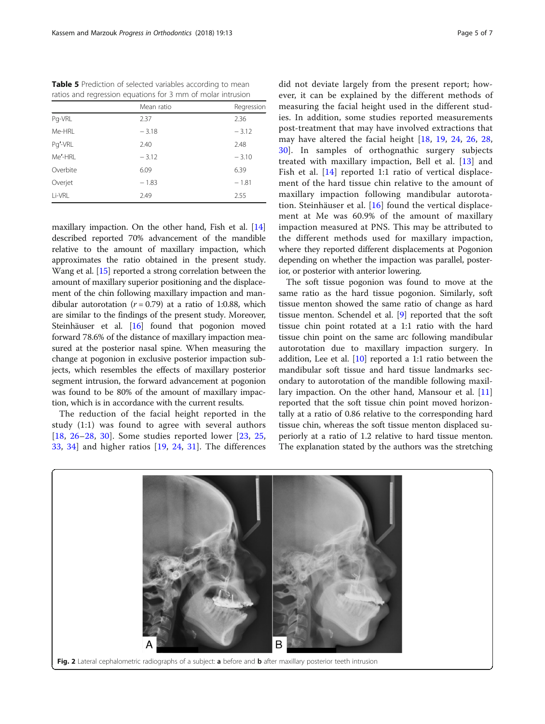<span id="page-4-0"></span>Table 5 Prediction of selected variables according to mean ratios and regression equations for 3 mm of molar intrusion

|          | Mean ratio | Regression |
|----------|------------|------------|
| Pg-VRL   | 2.37       | 2.36       |
| Me-HRL   | $-3.18$    | $-3.12$    |
| Pg'-VRL  | 2.40       | 2.48       |
| Me'-HRI  | $-3.12$    | $-3.10$    |
| Overbite | 6.09       | 6.39       |
| Overjet  | $-1.83$    | $-1.81$    |
| Li-VRL   | 2.49       | 2.55       |

maxillary impaction. On the other hand, Fish et al. [[14](#page-6-0)] described reported 70% advancement of the mandible relative to the amount of maxillary impaction, which approximates the ratio obtained in the present study. Wang et al. [\[15\]](#page-6-0) reported a strong correlation between the amount of maxillary superior positioning and the displacement of the chin following maxillary impaction and mandibular autorotation ( $r = 0.79$ ) at a ratio of 1:0.88, which are similar to the findings of the present study. Moreover, Steinhäuser et al. [\[16](#page-6-0)] found that pogonion moved forward 78.6% of the distance of maxillary impaction measured at the posterior nasal spine. When measuring the change at pogonion in exclusive posterior impaction subjects, which resembles the effects of maxillary posterior segment intrusion, the forward advancement at pogonion was found to be 80% of the amount of maxillary impaction, which is in accordance with the current results.

The reduction of the facial height reported in the study (1:1) was found to agree with several authors [[18](#page-6-0), [26](#page-6-0)–[28,](#page-6-0) [30\]](#page-6-0). Some studies reported lower [[23,](#page-6-0) [25](#page-6-0), [33,](#page-6-0) [34](#page-6-0)] and higher ratios [[19,](#page-6-0) [24](#page-6-0), [31\]](#page-6-0). The differences

did not deviate largely from the present report; however, it can be explained by the different methods of measuring the facial height used in the different studies. In addition, some studies reported measurements post-treatment that may have involved extractions that may have altered the facial height [[18](#page-6-0), [19,](#page-6-0) [24](#page-6-0), [26,](#page-6-0) [28](#page-6-0), [30\]](#page-6-0). In samples of orthognathic surgery subjects treated with maxillary impaction, Bell et al. [\[13](#page-6-0)] and Fish et al. [\[14](#page-6-0)] reported 1:1 ratio of vertical displacement of the hard tissue chin relative to the amount of maxillary impaction following mandibular autorotation. Steinhäuser et al. [\[16](#page-6-0)] found the vertical displacement at Me was 60.9% of the amount of maxillary impaction measured at PNS. This may be attributed to the different methods used for maxillary impaction, where they reported different displacements at Pogonion depending on whether the impaction was parallel, posterior, or posterior with anterior lowering.

The soft tissue pogonion was found to move at the same ratio as the hard tissue pogonion. Similarly, soft tissue menton showed the same ratio of change as hard tissue menton. Schendel et al. [[9\]](#page-6-0) reported that the soft tissue chin point rotated at a 1:1 ratio with the hard tissue chin point on the same arc following mandibular autorotation due to maxillary impaction surgery. In addition, Lee et al.  $[10]$  $[10]$  reported a 1:1 ratio between the mandibular soft tissue and hard tissue landmarks secondary to autorotation of the mandible following maxillary impaction. On the other hand, Mansour et al. [[11](#page-6-0)] reported that the soft tissue chin point moved horizontally at a ratio of 0.86 relative to the corresponding hard tissue chin, whereas the soft tissue menton displaced superiorly at a ratio of 1.2 relative to hard tissue menton. The explanation stated by the authors was the stretching

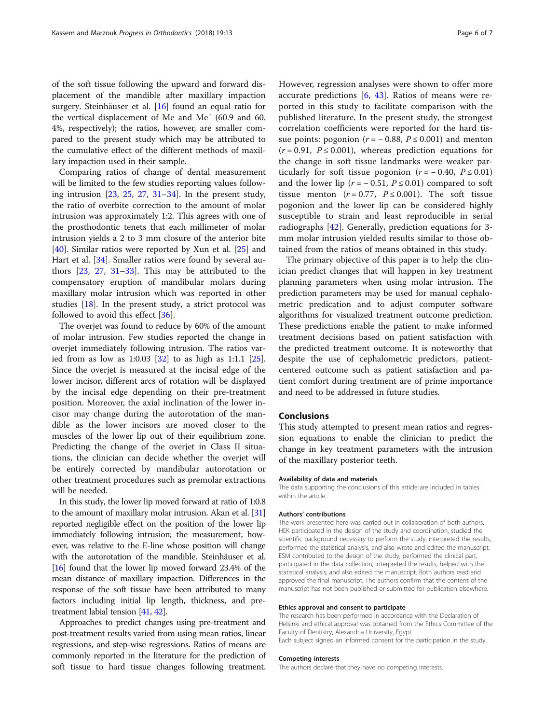of the soft tissue following the upward and forward displacement of the mandible after maxillary impaction surgery. Steinhäuser et al. [[16\]](#page-6-0) found an equal ratio for the vertical displacement of Me and Me′ (60.9 and 60. 4%, respectively); the ratios, however, are smaller compared to the present study which may be attributed to the cumulative effect of the different methods of maxillary impaction used in their sample.

Comparing ratios of change of dental measurement will be limited to the few studies reporting values following intrusion [\[23,](#page-6-0) [25](#page-6-0), [27](#page-6-0), [31](#page-6-0)–[34](#page-6-0)]. In the present study, the ratio of overbite correction to the amount of molar intrusion was approximately 1:2. This agrees with one of the prosthodontic tenets that each millimeter of molar intrusion yields a 2 to 3 mm closure of the anterior bite [[40\]](#page-6-0). Similar ratios were reported by Xun et al. [\[25\]](#page-6-0) and Hart et al. [\[34\]](#page-6-0). Smaller ratios were found by several authors [\[23](#page-6-0), [27,](#page-6-0) [31](#page-6-0)–[33\]](#page-6-0). This may be attributed to the compensatory eruption of mandibular molars during maxillary molar intrusion which was reported in other studies [\[18\]](#page-6-0). In the present study, a strict protocol was followed to avoid this effect [\[36](#page-6-0)].

The overjet was found to reduce by 60% of the amount of molar intrusion. Few studies reported the change in overjet immediately following intrusion. The ratios varied from as low as 1:0.03  $[32]$  to as high as 1:1.1  $[25]$  $[25]$ . Since the overjet is measured at the incisal edge of the lower incisor, different arcs of rotation will be displayed by the incisal edge depending on their pre-treatment position. Moreover, the axial inclination of the lower incisor may change during the autorotation of the mandible as the lower incisors are moved closer to the muscles of the lower lip out of their equilibrium zone. Predicting the change of the overjet in Class II situations, the clinician can decide whether the overjet will be entirely corrected by mandibular autorotation or other treatment procedures such as premolar extractions will be needed.

In this study, the lower lip moved forward at ratio of 1:0.8 to the amount of maxillary molar intrusion. Akan et al. [\[31](#page-6-0)] reported negligible effect on the position of the lower lip immediately following intrusion; the measurement, however, was relative to the E-line whose position will change with the autorotation of the mandible. Steinhäuser et al. [[16](#page-6-0)] found that the lower lip moved forward 23.4% of the mean distance of maxillary impaction. Differences in the response of the soft tissue have been attributed to many factors including initial lip length, thickness, and pretreatment labial tension [[41](#page-6-0), [42](#page-6-0)].

Approaches to predict changes using pre-treatment and post-treatment results varied from using mean ratios, linear regressions, and step-wise regressions. Ratios of means are commonly reported in the literature for the prediction of soft tissue to hard tissue changes following treatment. However, regression analyses were shown to offer more accurate predictions [[6,](#page-6-0) [43\]](#page-6-0). Ratios of means were reported in this study to facilitate comparison with the published literature. In the present study, the strongest correlation coefficients were reported for the hard tissue points: pogonion ( $r = -0.88$ ,  $P \le 0.001$ ) and menton  $(r = 0.91, P \le 0.001)$ , whereas prediction equations for the change in soft tissue landmarks were weaker particularly for soft tissue pogonion  $(r = -0.40, P \le 0.01)$ and the lower lip ( $r = -0.51$ ,  $P \le 0.01$ ) compared to soft tissue menton ( $r = 0.77$ ,  $P \le 0.001$ ). The soft tissue pogonion and the lower lip can be considered highly susceptible to strain and least reproducible in serial radiographs  $[42]$  $[42]$ . Generally, prediction equations for 3mm molar intrusion yielded results similar to those obtained from the ratios of means obtained in this study.

The primary objective of this paper is to help the clinician predict changes that will happen in key treatment planning parameters when using molar intrusion. The prediction parameters may be used for manual cephalometric predication and to adjust computer software algorithms for visualized treatment outcome prediction. These predictions enable the patient to make informed treatment decisions based on patient satisfaction with the predicted treatment outcome. It is noteworthy that despite the use of cephalometric predictors, patientcentered outcome such as patient satisfaction and patient comfort during treatment are of prime importance and need to be addressed in future studies.

## Conclusions

This study attempted to present mean ratios and regression equations to enable the clinician to predict the change in key treatment parameters with the intrusion of the maxillary posterior teeth.

#### Availability of data and materials

The data supporting the conclusions of this article are included in tables within the article.

#### Authors' contributions

The work presented here was carried out in collaboration of both authors. HEK participated in the design of the study and coordination, studied the scientific background necessary to perform the study, interpreted the results, performed the statistical analysis, and also wrote and edited the manuscript. ESM contributed to the design of the study, performed the clinical part, participated in the data collection, interpreted the results, helped with the statistical analysis, and also edited the manuscript. Both authors read and approved the final manuscript. The authors confirm that the content of the manuscript has not been published or submitted for publication elsewhere.

#### Ethics approval and consent to participate

The research has been performed in accordance with the Declaration of Helsinki and ethical approval was obtained from the Ethics Committee of the Faculty of Dentistry, Alexandria University, Egypt. Each subject signed an informed consent for the participation in the study.

#### Competing interests

The authors declare that they have no competing interests.